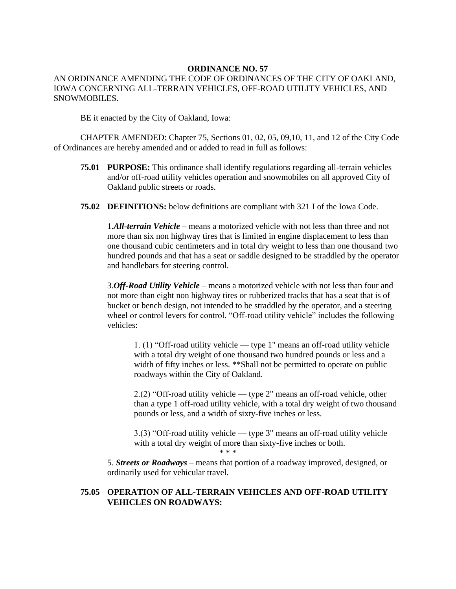#### **ORDINANCE NO. 57**

### AN ORDINANCE AMENDING THE CODE OF ORDINANCES OF THE CITY OF OAKLAND, IOWA CONCERNING ALL-TERRAIN VEHICLES, OFF-ROAD UTILITY VEHICLES, AND SNOWMOBILES.

BE it enacted by the City of Oakland, Iowa:

CHAPTER AMENDED: Chapter 75, Sections 01, 02, 05, 09,10, 11, and 12 of the City Code of Ordinances are hereby amended and or added to read in full as follows:

- **75.01 PURPOSE:** This ordinance shall identify regulations regarding all-terrain vehicles and/or off-road utility vehicles operation and snowmobiles on all approved City of Oakland public streets or roads.
- **75.02 DEFINITIONS:** below definitions are compliant with 321 I of the Iowa Code.

1.*All-terrain Vehicle* – means a motorized vehicle with not less than three and not more than six non highway tires that is limited in engine displacement to less than one thousand cubic centimeters and in total dry weight to less than one thousand two hundred pounds and that has a seat or saddle designed to be straddled by the operator and handlebars for steering control.

3.*Off-Road Utility Vehicle* – means a motorized vehicle with not less than four and not more than eight non highway tires or rubberized tracks that has a seat that is of bucket or bench design, not intended to be straddled by the operator, and a steering wheel or control levers for control. "Off-road utility vehicle" includes the following vehicles:

1. (1) "Off-road utility vehicle — type 1" means an off-road utility vehicle with a total dry weight of one thousand two hundred pounds or less and a width of fifty inches or less. \*\*Shall not be permitted to operate on public roadways within the City of Oakland.

2.(2) "Off-road utility vehicle — type 2" means an off-road vehicle, other than a type 1 off-road utility vehicle, with a total dry weight of two thousand pounds or less, and a width of sixty-five inches or less.

3.(3) "Off-road utility vehicle — type 3" means an off-road utility vehicle with a total dry weight of more than sixty-five inches or both.

5. *Streets or Roadways* – means that portion of a roadway improved, designed, or ordinarily used for vehicular travel.

### **75.05 OPERATION OF ALL-TERRAIN VEHICLES AND OFF-ROAD UTILITY VEHICLES ON ROADWAYS:**

\* \* \*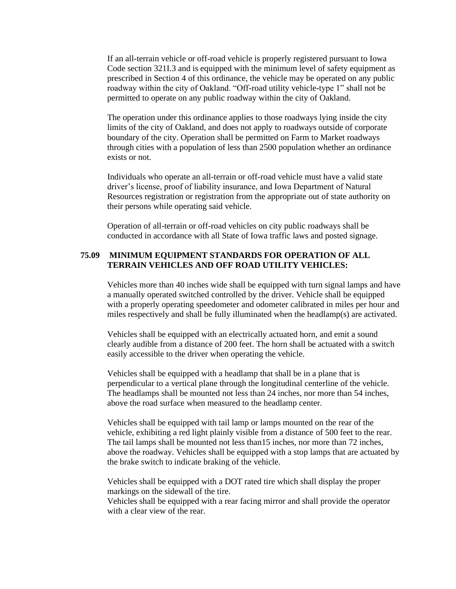If an all-terrain vehicle or off-road vehicle is properly registered pursuant to Iowa Code section 321I.3 and is equipped with the minimum level of safety equipment as prescribed in Section 4 of this ordinance, the vehicle may be operated on any public roadway within the city of Oakland. "Off-road utility vehicle-type 1" shall not be permitted to operate on any public roadway within the city of Oakland.

The operation under this ordinance applies to those roadways lying inside the city limits of the city of Oakland, and does not apply to roadways outside of corporate boundary of the city. Operation shall be permitted on Farm to Market roadways through cities with a population of less than 2500 population whether an ordinance exists or not.

Individuals who operate an all-terrain or off-road vehicle must have a valid state driver's license, proof of liability insurance, and Iowa Department of Natural Resources registration or registration from the appropriate out of state authority on their persons while operating said vehicle.

Operation of all-terrain or off-road vehicles on city public roadways shall be conducted in accordance with all State of Iowa traffic laws and posted signage.

# **75.09 MINIMUM EQUIPMENT STANDARDS FOR OPERATION OF ALL TERRAIN VEHICLES AND OFF ROAD UTILITY VEHICLES:**

Vehicles more than 40 inches wide shall be equipped with turn signal lamps and have a manually operated switched controlled by the driver. Vehicle shall be equipped with a properly operating speedometer and odometer calibrated in miles per hour and miles respectively and shall be fully illuminated when the headlamp(s) are activated.

Vehicles shall be equipped with an electrically actuated horn, and emit a sound clearly audible from a distance of 200 feet. The horn shall be actuated with a switch easily accessible to the driver when operating the vehicle.

Vehicles shall be equipped with a headlamp that shall be in a plane that is perpendicular to a vertical plane through the longitudinal centerline of the vehicle. The headlamps shall be mounted not less than 24 inches, nor more than 54 inches, above the road surface when measured to the headlamp center.

Vehicles shall be equipped with tail lamp or lamps mounted on the rear of the vehicle, exhibiting a red light plainly visible from a distance of 500 feet to the rear. The tail lamps shall be mounted not less than15 inches, nor more than 72 inches, above the roadway. Vehicles shall be equipped with a stop lamps that are actuated by the brake switch to indicate braking of the vehicle.

Vehicles shall be equipped with a DOT rated tire which shall display the proper markings on the sidewall of the tire.

Vehicles shall be equipped with a rear facing mirror and shall provide the operator with a clear view of the rear.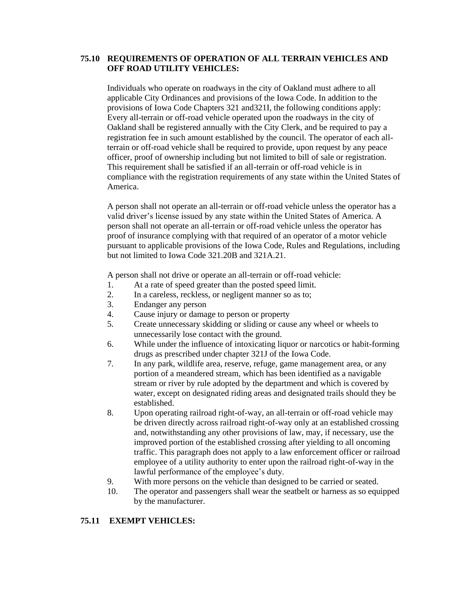# **75.10 REQUIREMENTS OF OPERATION OF ALL TERRAIN VEHICLES AND OFF ROAD UTILITY VEHICLES:**

Individuals who operate on roadways in the city of Oakland must adhere to all applicable City Ordinances and provisions of the Iowa Code. In addition to the provisions of Iowa Code Chapters 321 and321I, the following conditions apply: Every all-terrain or off-road vehicle operated upon the roadways in the city of Oakland shall be registered annually with the City Clerk, and be required to pay a registration fee in such amount established by the council. The operator of each allterrain or off-road vehicle shall be required to provide, upon request by any peace officer, proof of ownership including but not limited to bill of sale or registration. This requirement shall be satisfied if an all-terrain or off-road vehicle is in compliance with the registration requirements of any state within the United States of America.

A person shall not operate an all-terrain or off-road vehicle unless the operator has a valid driver's license issued by any state within the United States of America. A person shall not operate an all-terrain or off-road vehicle unless the operator has proof of insurance complying with that required of an operator of a motor vehicle pursuant to applicable provisions of the Iowa Code, Rules and Regulations, including but not limited to Iowa Code 321.20B and 321A.21.

A person shall not drive or operate an all-terrain or off-road vehicle:

- 1. At a rate of speed greater than the posted speed limit.
- 2. In a careless, reckless, or negligent manner so as to;
- 3. Endanger any person
- 4. Cause injury or damage to person or property
- 5. Create unnecessary skidding or sliding or cause any wheel or wheels to unnecessarily lose contact with the ground.
- 6. While under the influence of intoxicating liquor or narcotics or habit-forming drugs as prescribed under chapter 321J of the Iowa Code.
- 7. In any park, wildlife area, reserve, refuge, game management area, or any portion of a meandered stream, which has been identified as a navigable stream or river by rule adopted by the department and which is covered by water, except on designated riding areas and designated trails should they be established.
- 8. Upon operating railroad right-of-way, an all-terrain or off-road vehicle may be driven directly across railroad right-of-way only at an established crossing and, notwithstanding any other provisions of law, may, if necessary, use the improved portion of the established crossing after yielding to all oncoming traffic. This paragraph does not apply to a law enforcement officer or railroad employee of a utility authority to enter upon the railroad right-of-way in the lawful performance of the employee's duty.
- 9. With more persons on the vehicle than designed to be carried or seated.
- 10. The operator and passengers shall wear the seatbelt or harness as so equipped by the manufacturer.

# **75.11 EXEMPT VEHICLES:**